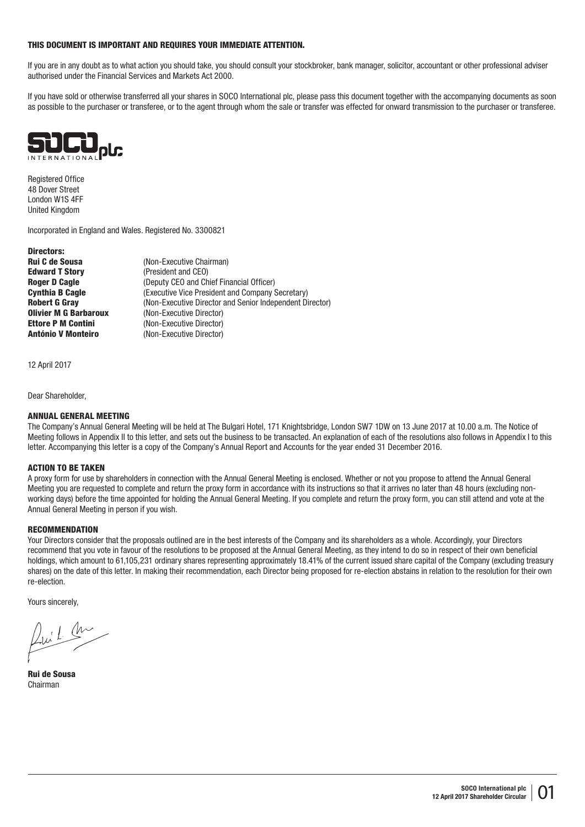#### THIS DOCUMENT IS IMPORTANT AND REQUIRES YOUR IMMEDIATE ATTENTION.

If you are in any doubt as to what action you should take, you should consult your stockbroker, bank manager, solicitor, accountant or other professional adviser authorised under the Financial Services and Markets Act 2000.

If you have sold or otherwise transferred all your shares in SOCO International plc, please pass this document together with the accompanying documents as soon as possible to the purchaser or transferee, or to the agent through whom the sale or transfer was effected for onward transmission to the purchaser or transferee.



Registered Office 48 Dover Street London W1S 4FF United Kingdom

Incorporated in England and Wales. Registered No. 3300821

Directors: **Rui C de Sousa** (Non-Executive Chairman) Edward T Story (President and CEO) **Olivier M G Barbaroux** (Non-Executive Director)<br> **Ettore P M Contini** (Non-Executive Director) António V Monteiro (Non-Executive Director)

**Roger D Cagle** (Deputy CEO and Chief Financial Officer) **Cynthia B Cagle** (Executive Vice President and Company Secretary) Robert G Gray (Non-Executive Director and Senior Independent Director) (Non-Executive Director)

12 April 2017

Dear Shareholder,

## ANNUAL GENERAL MEETING

The Company's Annual General Meeting will be held at The Bulgari Hotel, 171 Knightsbridge, London SW7 1DW on 13 June 2017 at 10.00 a.m. The Notice of Meeting follows in Appendix II to this letter, and sets out the business to be transacted. An explanation of each of the resolutions also follows in Appendix I to this letter. Accompanying this letter is a copy of the Company's Annual Report and Accounts for the year ended 31 December 2016.

#### ACTION TO BE TAKEN

A proxy form for use by shareholders in connection with the Annual General Meeting is enclosed. Whether or not you propose to attend the Annual General Meeting you are requested to complete and return the proxy form in accordance with its instructions so that it arrives no later than 48 hours (excluding nonworking days) before the time appointed for holding the Annual General Meeting. If you complete and return the proxy form, you can still attend and vote at the Annual General Meeting in person if you wish.

#### **RECOMMENDATION**

Your Directors consider that the proposals outlined are in the best interests of the Company and its shareholders as a whole. Accordingly, your Directors recommend that you vote in favour of the resolutions to be proposed at the Annual General Meeting, as they intend to do so in respect of their own beneficial holdings, which amount to 61,105,231 ordinary shares representing approximately 18.41% of the current issued share capital of the Company (excluding treasury shares) on the date of this letter. In making their recommendation, each Director being proposed for re-election abstains in relation to the resolution for their own re-election.

Yours sincerely,

 $2uL$ 

Rui de Sousa Chairman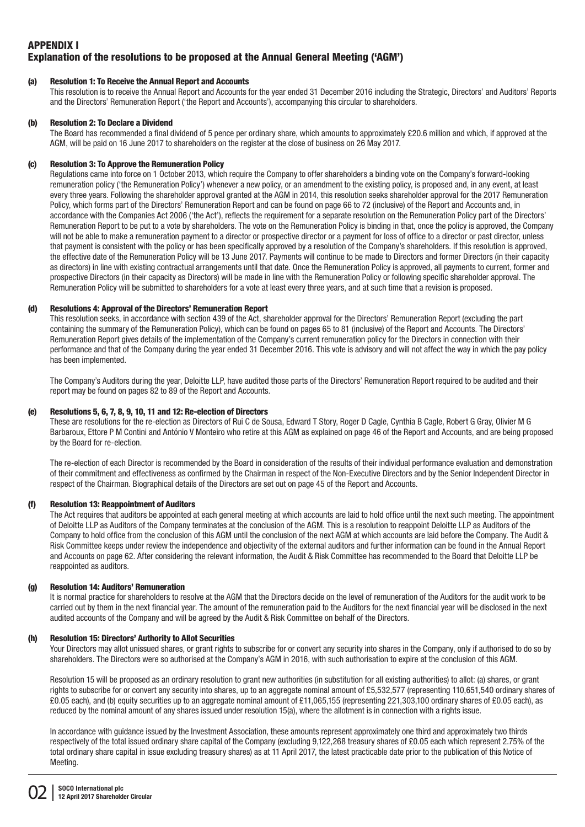# APPENDIX I Explanation of the resolutions to be proposed at the Annual General Meeting ('AGM')

# (a) Resolution 1: To Receive the Annual Report and Accounts

This resolution is to receive the Annual Report and Accounts for the year ended 31 December 2016 including the Strategic, Directors' and Auditors' Reports and the Directors' Remuneration Report ('the Report and Accounts'), accompanying this circular to shareholders.

# (b) Resolution 2: To Declare a Dividend

The Board has recommended a final dividend of 5 pence per ordinary share, which amounts to approximately £20.6 million and which, if approved at the AGM, will be paid on 16 June 2017 to shareholders on the register at the close of business on 26 May 2017.

# (c) Resolution 3: To Approve the Remuneration Policy

Regulations came into force on 1 October 2013, which require the Company to offer shareholders a binding vote on the Company's forward-looking remuneration policy ('the Remuneration Policy') whenever a new policy, or an amendment to the existing policy, is proposed and, in any event, at least every three years. Following the shareholder approval granted at the AGM in 2014, this resolution seeks shareholder approval for the 2017 Remuneration Policy, which forms part of the Directors' Remuneration Report and can be found on page 66 to 72 (inclusive) of the Report and Accounts and, in accordance with the Companies Act 2006 ('the Act'), reflects the requirement for a separate resolution on the Remuneration Policy part of the Directors' Remuneration Report to be put to a vote by shareholders. The vote on the Remuneration Policy is binding in that, once the policy is approved, the Company will not be able to make a remuneration payment to a director or prospective director or a payment for loss of office to a director or past director, unless that payment is consistent with the policy or has been specifically approved by a resolution of the Company's shareholders. If this resolution is approved, the effective date of the Remuneration Policy will be 13 June 2017. Payments will continue to be made to Directors and former Directors (in their capacity as directors) in line with existing contractual arrangements until that date. Once the Remuneration Policy is approved, all payments to current, former and prospective Directors (in their capacity as Directors) will be made in line with the Remuneration Policy or following specific shareholder approval. The Remuneration Policy will be submitted to shareholders for a vote at least every three years, and at such time that a revision is proposed.

# (d) Resolutions 4: Approval of the Directors' Remuneration Report

This resolution seeks, in accordance with section 439 of the Act, shareholder approval for the Directors' Remuneration Report (excluding the part containing the summary of the Remuneration Policy), which can be found on pages 65 to 81 (inclusive) of the Report and Accounts. The Directors' Remuneration Report gives details of the implementation of the Company's current remuneration policy for the Directors in connection with their performance and that of the Company during the year ended 31 December 2016. This vote is advisory and will not affect the way in which the pay policy has been implemented.

The Company's Auditors during the year, Deloitte LLP, have audited those parts of the Directors' Remuneration Report required to be audited and their report may be found on pages 82 to 89 of the Report and Accounts.

# (e) Resolutions 5, 6, 7, 8, 9, 10, 11 and 12: Re-election of Directors

These are resolutions for the re-election as Directors of Rui C de Sousa, Edward T Story, Roger D Cagle, Cynthia B Cagle, Robert G Gray, Olivier M G Barbaroux, Ettore P M Contini and António V Monteiro who retire at this AGM as explained on page 46 of the Report and Accounts, and are being proposed by the Board for re-election.

The re-election of each Director is recommended by the Board in consideration of the results of their individual performance evaluation and demonstration of their commitment and effectiveness as confirmed by the Chairman in respect of the Non-Executive Directors and by the Senior Independent Director in respect of the Chairman. Biographical details of the Directors are set out on page 45 of the Report and Accounts.

#### (f) Resolution 13: Reappointment of Auditors

The Act requires that auditors be appointed at each general meeting at which accounts are laid to hold office until the next such meeting. The appointment of Deloitte LLP as Auditors of the Company terminates at the conclusion of the AGM. This is a resolution to reappoint Deloitte LLP as Auditors of the Company to hold office from the conclusion of this AGM until the conclusion of the next AGM at which accounts are laid before the Company. The Audit & Risk Committee keeps under review the independence and objectivity of the external auditors and further information can be found in the Annual Report and Accounts on page 62. After considering the relevant information, the Audit & Risk Committee has recommended to the Board that Deloitte LLP be reappointed as auditors.

#### (g) Resolution 14: Auditors' Remuneration

It is normal practice for shareholders to resolve at the AGM that the Directors decide on the level of remuneration of the Auditors for the audit work to be carried out by them in the next financial year. The amount of the remuneration paid to the Auditors for the next financial year will be disclosed in the next audited accounts of the Company and will be agreed by the Audit & Risk Committee on behalf of the Directors.

## (h) Resolution 15: Directors' Authority to Allot Securities

Your Directors may allot unissued shares, or grant rights to subscribe for or convert any security into shares in the Company, only if authorised to do so by shareholders. The Directors were so authorised at the Company's AGM in 2016, with such authorisation to expire at the conclusion of this AGM.

Resolution 15 will be proposed as an ordinary resolution to grant new authorities (in substitution for all existing authorities) to allot: (a) shares, or grant rights to subscribe for or convert any security into shares, up to an aggregate nominal amount of £5,532,577 (representing 110,651,540 ordinary shares of £0.05 each), and (b) equity securities up to an aggregate nominal amount of £11,065,155 (representing 221,303,100 ordinary shares of £0.05 each), as reduced by the nominal amount of any shares issued under resolution 15(a), where the allotment is in connection with a rights issue.

In accordance with guidance issued by the Investment Association, these amounts represent approximately one third and approximately two thirds respectively of the total issued ordinary share capital of the Company (excluding 9,122,268 treasury shares of £0.05 each which represent 2.75% of the total ordinary share capital in issue excluding treasury shares) as at 11 April 2017, the latest practicable date prior to the publication of this Notice of Meeting.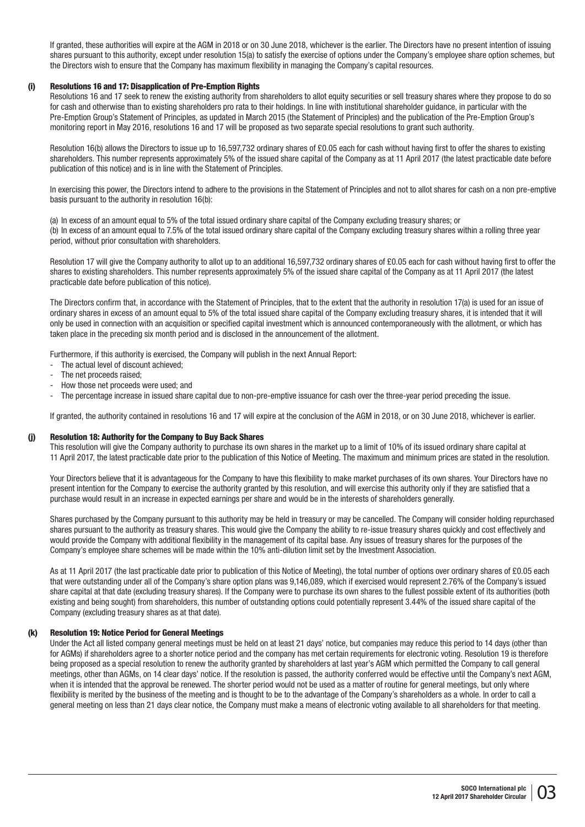If granted, these authorities will expire at the AGM in 2018 or on 30 June 2018, whichever is the earlier. The Directors have no present intention of issuing shares pursuant to this authority, except under resolution 15(a) to satisfy the exercise of options under the Company's employee share option schemes, but the Directors wish to ensure that the Company has maximum flexibility in managing the Company's capital resources.

# (i) Resolutions 16 and 17: Disapplication of Pre-Emption Rights

Resolutions 16 and 17 seek to renew the existing authority from shareholders to allot equity securities or sell treasury shares where they propose to do so for cash and otherwise than to existing shareholders pro rata to their holdings. In line with institutional shareholder guidance, in particular with the Pre-Emption Group's Statement of Principles, as updated in March 2015 (the Statement of Principles) and the publication of the Pre-Emption Group's monitoring report in May 2016, resolutions 16 and 17 will be proposed as two separate special resolutions to grant such authority.

Resolution 16(b) allows the Directors to issue up to 16,597,732 ordinary shares of £0.05 each for cash without having first to offer the shares to existing shareholders. This number represents approximately 5% of the issued share capital of the Company as at 11 April 2017 (the latest practicable date before publication of this notice) and is in line with the Statement of Principles.

In exercising this power, the Directors intend to adhere to the provisions in the Statement of Principles and not to allot shares for cash on a non pre-emptive basis pursuant to the authority in resolution 16(b):

(a) In excess of an amount equal to 5% of the total issued ordinary share capital of the Company excluding treasury shares; or (b) In excess of an amount equal to 7.5% of the total issued ordinary share capital of the Company excluding treasury shares within a rolling three year period, without prior consultation with shareholders.

Resolution 17 will give the Company authority to allot up to an additional 16.597.732 ordinary shares of £0.05 each for cash without having first to offer the shares to existing shareholders. This number represents approximately 5% of the issued share capital of the Company as at 11 April 2017 (the latest practicable date before publication of this notice).

The Directors confirm that, in accordance with the Statement of Principles, that to the extent that the authority in resolution 17(a) is used for an issue of ordinary shares in excess of an amount equal to 5% of the total issued share capital of the Company excluding treasury shares, it is intended that it will only be used in connection with an acquisition or specified capital investment which is announced contemporaneously with the allotment, or which has taken place in the preceding six month period and is disclosed in the announcement of the allotment.

Furthermore, if this authority is exercised, the Company will publish in the next Annual Report:

- The actual level of discount achieved;
- The net proceeds raised:
- How those net proceeds were used; and
- The percentage increase in issued share capital due to non-pre-emptive issuance for cash over the three-year period preceding the issue.

If granted, the authority contained in resolutions 16 and 17 will expire at the conclusion of the AGM in 2018, or on 30 June 2018, whichever is earlier.

#### (j) Resolution 18: Authority for the Company to Buy Back Shares

This resolution will give the Company authority to purchase its own shares in the market up to a limit of 10% of its issued ordinary share capital at 11 April 2017, the latest practicable date prior to the publication of this Notice of Meeting. The maximum and minimum prices are stated in the resolution.

Your Directors believe that it is advantageous for the Company to have this flexibility to make market purchases of its own shares. Your Directors have no present intention for the Company to exercise the authority granted by this resolution, and will exercise this authority only if they are satisfied that a purchase would result in an increase in expected earnings per share and would be in the interests of shareholders generally.

Shares purchased by the Company pursuant to this authority may be held in treasury or may be cancelled. The Company will consider holding repurchased shares pursuant to the authority as treasury shares. This would give the Company the ability to re-issue treasury shares quickly and cost effectively and would provide the Company with additional flexibility in the management of its capital base. Any issues of treasury shares for the purposes of the Company's employee share schemes will be made within the 10% anti-dilution limit set by the Investment Association.

As at 11 April 2017 (the last practicable date prior to publication of this Notice of Meeting), the total number of options over ordinary shares of £0.05 each that were outstanding under all of the Company's share option plans was 9,146,089, which if exercised would represent 2.76% of the Company's issued share capital at that date (excluding treasury shares). If the Company were to purchase its own shares to the fullest possible extent of its authorities (both existing and being sought) from shareholders, this number of outstanding options could potentially represent 3.44% of the issued share capital of the Company (excluding treasury shares as at that date).

#### (k) Resolution 19: Notice Period for General Meetings

Under the Act all listed company general meetings must be held on at least 21 days' notice, but companies may reduce this period to 14 days (other than for AGMs) if shareholders agree to a shorter notice period and the company has met certain requirements for electronic voting. Resolution 19 is therefore being proposed as a special resolution to renew the authority granted by shareholders at last year's AGM which permitted the Company to call general meetings, other than AGMs, on 14 clear days' notice. If the resolution is passed, the authority conferred would be effective until the Company's next AGM, when it is intended that the approval be renewed. The shorter period would not be used as a matter of routine for general meetings, but only where flexibility is merited by the business of the meeting and is thought to be to the advantage of the Company's shareholders as a whole. In order to call a general meeting on less than 21 days clear notice, the Company must make a means of electronic voting available to all shareholders for that meeting.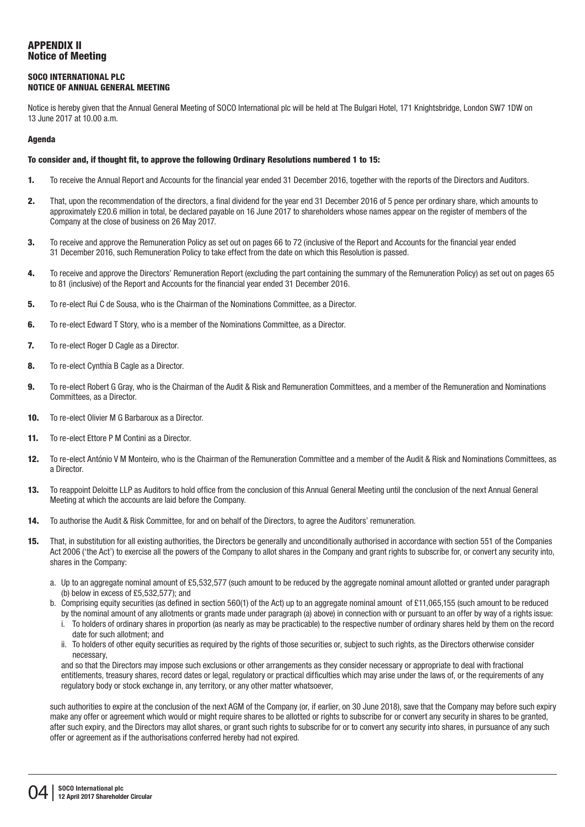# APPENDIX II Notice of Meeting

# SOCO INTERNATIONAL PLC NOTICE OF ANNUAL GENERAL MEETING

Notice is hereby given that the Annual General Meeting of SOCO International plc will be held at The Bulgari Hotel, 171 Knightsbridge, London SW7 1DW on 13 June 2017 at 10.00 a.m.

# Agenda

## To consider and, if thought fit, to approve the following Ordinary Resolutions numbered 1 to 15:

- 1. To receive the Annual Report and Accounts for the financial year ended 31 December 2016, together with the reports of the Directors and Auditors.
- 2. That, upon the recommendation of the directors, a final dividend for the year end 31 December 2016 of 5 pence per ordinary share, which amounts to approximately £20.6 million in total, be declared payable on 16 June 2017 to shareholders whose names appear on the register of members of the Company at the close of business on 26 May 2017.
- 3. To receive and approve the Remuneration Policy as set out on pages 66 to 72 (inclusive of the Report and Accounts for the financial year ended 31 December 2016, such Remuneration Policy to take effect from the date on which this Resolution is passed.
- 4. To receive and approve the Directors' Remuneration Report (excluding the part containing the summary of the Remuneration Policy) as set out on pages 65 to 81 (inclusive) of the Report and Accounts for the financial year ended 31 December 2016.
- 5. To re-elect Rui C de Sousa, who is the Chairman of the Nominations Committee, as a Director.
- 6. To re-elect Edward T Story, who is a member of the Nominations Committee, as a Director.
- 7. To re-elect Roger D Cagle as a Director.
- 8. To re-elect Cynthia B Cagle as a Director.
- 9. To re-elect Robert G Gray, who is the Chairman of the Audit & Risk and Remuneration Committees, and a member of the Remuneration and Nominations Committees, as a Director.
- 10. To re-elect Olivier M G Barbaroux as a Director.
- 11. To re-elect Ettore P M Contini as a Director.
- 12. To re-elect António V M Monteiro, who is the Chairman of the Remuneration Committee and a member of the Audit & Risk and Nominations Committees, as a Director.
- 13. To reappoint Deloitte LLP as Auditors to hold office from the conclusion of this Annual General Meeting until the conclusion of the next Annual General Meeting at which the accounts are laid before the Company.
- 14. To authorise the Audit & Risk Committee, for and on behalf of the Directors, to agree the Auditors' remuneration.
- 15. That, in substitution for all existing authorities, the Directors be generally and unconditionally authorised in accordance with section 551 of the Companies Act 2006 ('the Act') to exercise all the powers of the Company to allot shares in the Company and grant rights to subscribe for, or convert any security into, shares in the Company:
	- a. Up to an aggregate nominal amount of £5,532,577 (such amount to be reduced by the aggregate nominal amount allotted or granted under paragraph (b) below in excess of £5,532,577); and
	- b. Comprising equity securities (as defined in section 560(1) of the Act) up to an aggregate nominal amount of £11,065,155 (such amount to be reduced by the nominal amount of any allotments or grants made under paragraph (a) above) in connection with or pursuant to an offer by way of a rights issue:
		- i. To holders of ordinary shares in proportion (as nearly as may be practicable) to the respective number of ordinary shares held by them on the record date for such allotment; and
		- ii. To holders of other equity securities as required by the rights of those securities or, subject to such rights, as the Directors otherwise consider necessary,

 and so that the Directors may impose such exclusions or other arrangements as they consider necessary or appropriate to deal with fractional entitlements, treasury shares, record dates or legal, regulatory or practical difficulties which may arise under the laws of, or the requirements of any regulatory body or stock exchange in, any territory, or any other matter whatsoever,

such authorities to expire at the conclusion of the next AGM of the Company (or, if earlier, on 30 June 2018), save that the Company may before such expiry make any offer or agreement which would or might require shares to be allotted or rights to subscribe for or convert any security in shares to be granted, after such expiry, and the Directors may allot shares, or grant such rights to subscribe for or to convert any security into shares, in pursuance of any such offer or agreement as if the authorisations conferred hereby had not expired.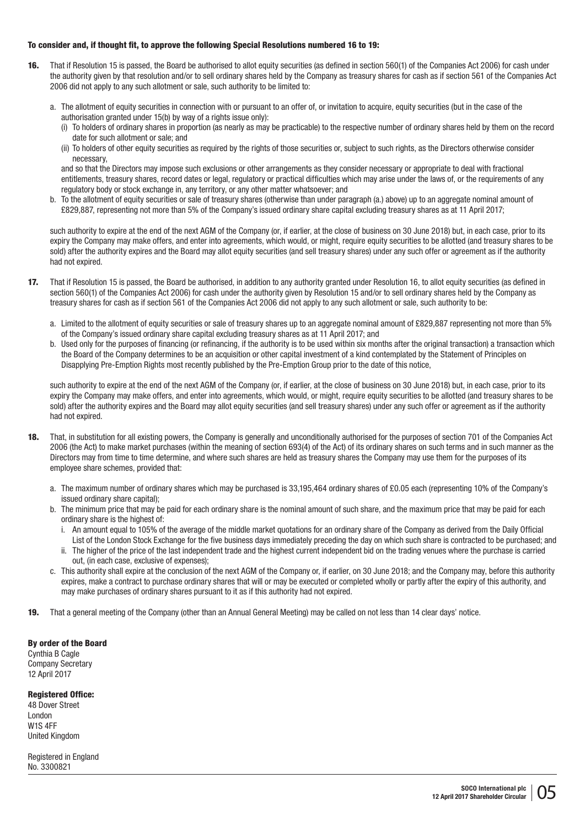## To consider and, if thought fit, to approve the following Special Resolutions numbered 16 to 19:

- 16. That if Resolution 15 is passed, the Board be authorised to allot equity securities (as defined in section 560(1) of the Companies Act 2006) for cash under the authority given by that resolution and/or to sell ordinary shares held by the Company as treasury shares for cash as if section 561 of the Companies Act 2006 did not apply to any such allotment or sale, such authority to be limited to:
	- a. The allotment of equity securities in connection with or pursuant to an offer of, or invitation to acquire, equity securities (but in the case of the authorisation granted under 15(b) by way of a rights issue only):
		- (i) To holders of ordinary shares in proportion (as nearly as may be practicable) to the respective number of ordinary shares held by them on the record date for such allotment or sale; and
		- (ii) To holders of other equity securities as required by the rights of those securities or, subject to such rights, as the Directors otherwise consider necessary,

 and so that the Directors may impose such exclusions or other arrangements as they consider necessary or appropriate to deal with fractional entitlements, treasury shares, record dates or legal, regulatory or practical difficulties which may arise under the laws of, or the requirements of any regulatory body or stock exchange in, any territory, or any other matter whatsoever; and

b. To the allotment of equity securities or sale of treasury shares (otherwise than under paragraph (a.) above) up to an aggregate nominal amount of £829,887, representing not more than 5% of the Company's issued ordinary share capital excluding treasury shares as at 11 April 2017;

such authority to expire at the end of the next AGM of the Company (or, if earlier, at the close of business on 30 June 2018) but, in each case, prior to its expiry the Company may make offers, and enter into agreements, which would, or might, require equity securities to be allotted (and treasury shares to be sold) after the authority expires and the Board may allot equity securities (and sell treasury shares) under any such offer or agreement as if the authority had not expired.

- 17. That if Resolution 15 is passed, the Board be authorised, in addition to any authority granted under Resolution 16, to allot equity securities (as defined in section 560(1) of the Companies Act 2006) for cash under the authority given by Resolution 15 and/or to sell ordinary shares held by the Company as treasury shares for cash as if section 561 of the Companies Act 2006 did not apply to any such allotment or sale, such authority to be:
	- a. Limited to the allotment of equity securities or sale of treasury shares up to an aggregate nominal amount of £829,887 representing not more than 5% of the Company's issued ordinary share capital excluding treasury shares as at 11 April 2017; and
	- b. Used only for the purposes of financing (or refinancing, if the authority is to be used within six months after the original transaction) a transaction which the Board of the Company determines to be an acquisition or other capital investment of a kind contemplated by the Statement of Principles on Disapplying Pre-Emption Rights most recently published by the Pre-Emption Group prior to the date of this notice,

such authority to expire at the end of the next AGM of the Company (or, if earlier, at the close of business on 30 June 2018) but, in each case, prior to its expiry the Company may make offers, and enter into agreements, which would, or might, require equity securities to be allotted (and treasury shares to be sold) after the authority expires and the Board may allot equity securities (and sell treasury shares) under any such offer or agreement as if the authority had not expired.

- 18. That, in substitution for all existing powers, the Company is generally and unconditionally authorised for the purposes of section 701 of the Companies Act 2006 (the Act) to make market purchases (within the meaning of section 693(4) of the Act) of its ordinary shares on such terms and in such manner as the Directors may from time to time determine, and where such shares are held as treasury shares the Company may use them for the purposes of its employee share schemes, provided that:
	- a. The maximum number of ordinary shares which may be purchased is 33,195,464 ordinary shares of £0.05 each (representing 10% of the Company's issued ordinary share capital);
	- b. The minimum price that may be paid for each ordinary share is the nominal amount of such share, and the maximum price that may be paid for each ordinary share is the highest of:
		- i. An amount equal to 105% of the average of the middle market quotations for an ordinary share of the Company as derived from the Daily Official List of the London Stock Exchange for the five business days immediately preceding the day on which such share is contracted to be purchased; and
		- ii. The higher of the price of the last independent trade and the highest current independent bid on the trading venues where the purchase is carried out, (in each case, exclusive of expenses);
	- c. This authority shall expire at the conclusion of the next AGM of the Company or, if earlier, on 30 June 2018; and the Company may, before this authority expires, make a contract to purchase ordinary shares that will or may be executed or completed wholly or partly after the expiry of this authority, and may make purchases of ordinary shares pursuant to it as if this authority had not expired.
- 19. That a general meeting of the Company (other than an Annual General Meeting) may be called on not less than 14 clear days' notice.

#### By order of the Board

Cynthia B Cagle Company Secretary 12 April 2017

#### Registered Office:

48 Dover Street London W1S 4FF United Kingdom

Registered in England No. 3300821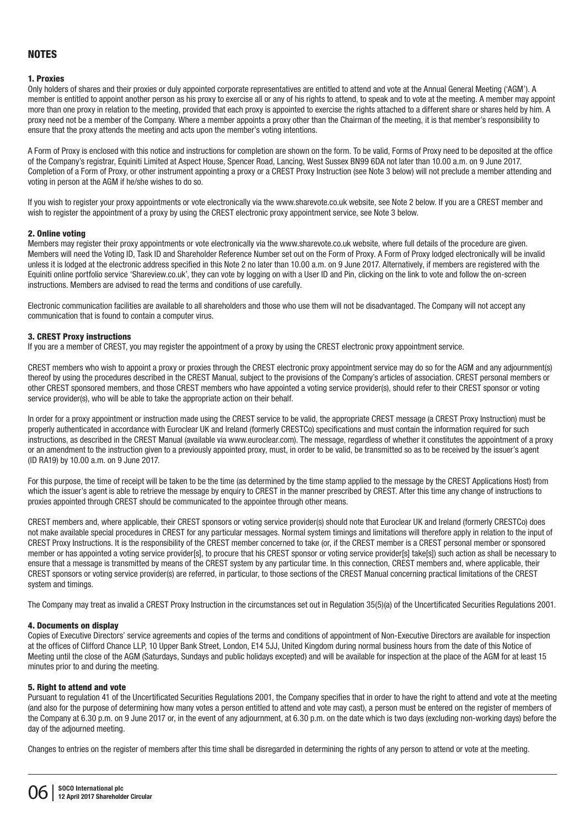# NOTES

#### 1. Proxies

Only holders of shares and their proxies or duly appointed corporate representatives are entitled to attend and vote at the Annual General Meeting ('AGM'). A member is entitled to appoint another person as his proxy to exercise all or any of his rights to attend, to speak and to vote at the meeting. A member may appoint more than one proxy in relation to the meeting, provided that each proxy is appointed to exercise the rights attached to a different share or shares held by him. A proxy need not be a member of the Company. Where a member appoints a proxy other than the Chairman of the meeting, it is that member's responsibility to ensure that the proxy attends the meeting and acts upon the member's voting intentions.

A Form of Proxy is enclosed with this notice and instructions for completion are shown on the form. To be valid, Forms of Proxy need to be deposited at the office of the Company's registrar, Equiniti Limited at Aspect House, Spencer Road, Lancing, West Sussex BN99 6DA not later than 10.00 a.m. on 9 June 2017. Completion of a Form of Proxy, or other instrument appointing a proxy or a CREST Proxy Instruction (see Note 3 below) will not preclude a member attending and voting in person at the AGM if he/she wishes to do so.

If you wish to register your proxy appointments or vote electronically via the www.sharevote.co.uk website, see Note 2 below. If you are a CREST member and wish to register the appointment of a proxy by using the CREST electronic proxy appointment service, see Note 3 below.

#### 2. Online voting

Members may register their proxy appointments or vote electronically via the www.sharevote.co.uk website, where full details of the procedure are given. Members will need the Voting ID, Task ID and Shareholder Reference Number set out on the Form of Proxy. A Form of Proxy lodged electronically will be invalid unless it is lodged at the electronic address specified in this Note 2 no later than 10.00 a.m. on 9 June 2017. Alternatively, if members are registered with the Equiniti online portfolio service 'Shareview.co.uk', they can vote by logging on with a User ID and Pin, clicking on the link to vote and follow the on-screen instructions. Members are advised to read the terms and conditions of use carefully.

Electronic communication facilities are available to all shareholders and those who use them will not be disadvantaged. The Company will not accept any communication that is found to contain a computer virus.

#### 3. CREST Proxy instructions

If you are a member of CREST, you may register the appointment of a proxy by using the CREST electronic proxy appointment service.

CREST members who wish to appoint a proxy or proxies through the CREST electronic proxy appointment service may do so for the AGM and any adjournment(s) thereof by using the procedures described in the CREST Manual, subject to the provisions of the Company's articles of association. CREST personal members or other CREST sponsored members, and those CREST members who have appointed a voting service provider(s), should refer to their CREST sponsor or voting service provider(s), who will be able to take the appropriate action on their behalf.

In order for a proxy appointment or instruction made using the CREST service to be valid, the appropriate CREST message (a CREST Proxy Instruction) must be properly authenticated in accordance with Euroclear UK and Ireland (formerly CRESTCo) specifications and must contain the information required for such instructions, as described in the CREST Manual (available via www.euroclear.com). The message, regardless of whether it constitutes the appointment of a proxy or an amendment to the instruction given to a previously appointed proxy, must, in order to be valid, be transmitted so as to be received by the issuer's agent (ID RA19) by 10.00 a.m. on 9 June 2017.

For this purpose, the time of receipt will be taken to be the time (as determined by the time stamp applied to the message by the CREST Applications Host) from which the issuer's agent is able to retrieve the message by enquiry to CREST in the manner prescribed by CREST. After this time any change of instructions to proxies appointed through CREST should be communicated to the appointee through other means.

CREST members and, where applicable, their CREST sponsors or voting service provider(s) should note that Euroclear UK and Ireland (formerly CRESTCo) does not make available special procedures in CREST for any particular messages. Normal system timings and limitations will therefore apply in relation to the input of CREST Proxy Instructions. It is the responsibility of the CREST member concerned to take (or, if the CREST member is a CREST personal member or sponsored member or has appointed a voting service provider[s], to procure that his CREST sponsor or voting service provider[s] take[s]) such action as shall be necessary to ensure that a message is transmitted by means of the CREST system by any particular time. In this connection, CREST members and, where applicable, their CREST sponsors or voting service provider(s) are referred, in particular, to those sections of the CREST Manual concerning practical limitations of the CREST system and timings.

The Company may treat as invalid a CREST Proxy Instruction in the circumstances set out in Regulation 35(5)(a) of the Uncertificated Securities Regulations 2001.

#### 4. Documents on display

Copies of Executive Directors' service agreements and copies of the terms and conditions of appointment of Non-Executive Directors are available for inspection at the offices of Clifford Chance LLP, 10 Upper Bank Street, London, E14 5JJ, United Kingdom during normal business hours from the date of this Notice of Meeting until the close of the AGM (Saturdays, Sundays and public holidays excepted) and will be available for inspection at the place of the AGM for at least 15 minutes prior to and during the meeting.

# 5. Right to attend and vote

Pursuant to regulation 41 of the Uncertificated Securities Regulations 2001, the Company specifies that in order to have the right to attend and vote at the meeting (and also for the purpose of determining how many votes a person entitled to attend and vote may cast), a person must be entered on the register of members of the Company at 6.30 p.m. on 9 June 2017 or, in the event of any adjournment, at 6.30 p.m. on the date which is two days (excluding non-working days) before the day of the adjourned meeting.

Changes to entries on the register of members after this time shall be disregarded in determining the rights of any person to attend or vote at the meeting.